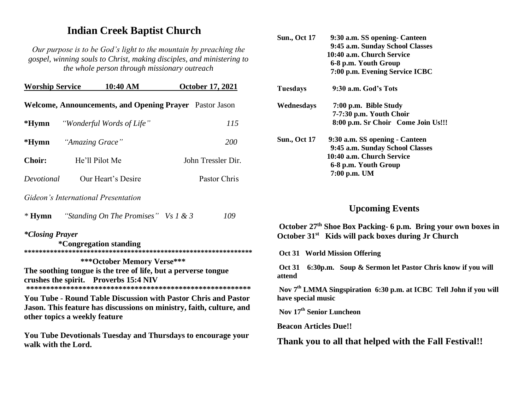## **Indian Creek Baptist Church**

*Our purpose is to be God's light to the mountain by preaching the gospel, winning souls to Christ, making disciples, and ministering to the whole person through missionary outreach*

| <b>Worship Service</b>                                                                                                                                                         |                               | 10:40 AM                               |  | <b>October 17, 2021</b> |  |
|--------------------------------------------------------------------------------------------------------------------------------------------------------------------------------|-------------------------------|----------------------------------------|--|-------------------------|--|
| Welcome, Announcements, and Opening Prayer Pastor Jason                                                                                                                        |                               |                                        |  |                         |  |
| $*Hymn$                                                                                                                                                                        |                               | "Wonderful Words of Life"              |  | 115                     |  |
|                                                                                                                                                                                | * <b>Hymn</b> "Amazing Grace" |                                        |  | <i>200</i>              |  |
| <b>Choir:</b>                                                                                                                                                                  | He'll Pilot Me                |                                        |  | John Tressler Dir.      |  |
| Devotional                                                                                                                                                                     |                               | Our Heart's Desire                     |  | Pastor Chris            |  |
| Gideon's International Presentation                                                                                                                                            |                               |                                        |  |                         |  |
| $*$ Hymn                                                                                                                                                                       |                               | "Standing On The Promises" Vs $1 \& 3$ |  | 109                     |  |
| <i>*Closing Prayer</i><br><i>*</i> Congregation standing                                                                                                                       |                               |                                        |  |                         |  |
| ***October Memory Verse***<br>The soothing tongue is the tree of life, but a perverse tongue<br>crushes the spirit. Proverbs 15:4 NIV                                          |                               |                                        |  |                         |  |
| <b>You Tube - Round Table Discussion with Pastor Chris and Pastor</b><br>Jason. This feature has discussions on ministry, faith, culture, and<br>other topics a weekly feature |                               |                                        |  |                         |  |

**You Tube Devotionals Tuesday and Thursdays to encourage your walk with the Lord.**

| <b>Sun., Oct 17</b> | 9:30 a.m. SS opening - Canteen     |  |  |
|---------------------|------------------------------------|--|--|
|                     | 9:45 a.m. Sunday School Classes    |  |  |
|                     | 10:40 a.m. Church Service          |  |  |
|                     | 6-8 p.m. Youth Group               |  |  |
|                     | 7:00 p.m. Evening Service ICBC     |  |  |
| Tuesdays            | 9:30 a.m. God's Tots               |  |  |
| Wednesdays          | 7:00 p.m. Bible Study              |  |  |
|                     | 7-7:30 p.m. Youth Choir            |  |  |
|                     | 8:00 p.m. Sr Choir Come Join Us!!! |  |  |
| <b>Sun., Oct 17</b> | 9:30 a.m. SS opening - Canteen     |  |  |
|                     | 9:45 a.m. Sunday School Classes    |  |  |
|                     | 10:40 a.m. Church Service          |  |  |
|                     | 6-8 p.m. Youth Group               |  |  |
|                     | 7:00 p.m. UM                       |  |  |
|                     |                                    |  |  |

## **Upcoming Events**

**October 27th Shoe Box Packing- 6 p.m. Bring your own boxes in October 31st Kids will pack boxes during Jr Church**

**Oct 31 World Mission Offering**

**Oct 31 6:30p.m. Soup & Sermon let Pastor Chris know if you will attend**

**Nov 7th LMMA Singspiration 6:30 p.m. at ICBC Tell John if you will have special music**

**Nov 17 th Senior Luncheon**

**Beacon Articles Due!!**

**Thank you to all that helped with the Fall Festival!!**